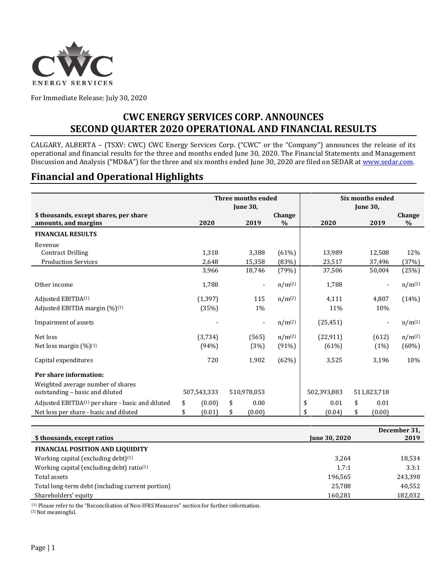

For Immediate Release: July 30, 2020

## **CWC ENERGY SERVICES CORP. ANNOUNCES SECOND QUARTER 2020 OPERATIONAL AND FINANCIAL RESULTS**

CALGARY, ALBERTA – (TSXV: CWC) CWC Energy Services Corp. ("CWC" or the "Company") announces the release of its operational and financial results for the three and months ended June 30, 2020. The Financial Statements and Management Discussion and Analysis ("MD&A") for the three and six months ended June 30, 2020 are filed on SEDAR at [www.sedar.com.](http://www.sedar.com/)

### **Financial and Operational Highlights**

|                                                                    |                 | Three months ended       |             |                 | Six months ended |               |  |  |
|--------------------------------------------------------------------|-----------------|--------------------------|-------------|-----------------|------------------|---------------|--|--|
|                                                                    | <b>June 30,</b> |                          |             | <b>June 30,</b> |                  |               |  |  |
| \$ thousands, except shares, per share                             |                 |                          | Change      |                 |                  | Change        |  |  |
| 2020<br>amounts, and margins                                       |                 | 2019                     | $\%$        | 2020            | 2019             | $\frac{0}{0}$ |  |  |
| <b>FINANCIAL RESULTS</b>                                           |                 |                          |             |                 |                  |               |  |  |
| Revenue                                                            |                 |                          |             |                 |                  |               |  |  |
| <b>Contract Drilling</b>                                           | 1,318           | 3,388                    | (61%)       | 13,989          | 12,508           | 12%           |  |  |
| <b>Production Services</b>                                         | 2,648           | 15,358                   | (83%)       | 23,517          | 37,496           | (37%)         |  |  |
|                                                                    | 3,966           | 18,746                   | (79%)       | 37,506          | 50,004           | (25%)         |  |  |
| Other income                                                       | 1,788           | $\overline{\phantom{a}}$ | $n/m^{(2)}$ | 1,788           |                  | $n/m^{(2)}$   |  |  |
| Adjusted EBITDA <sup>(1)</sup><br>(1, 397)                         |                 | 115                      | $n/m^{(2)}$ | 4,111           | 4,807            | (14%)         |  |  |
| Adjusted EBITDA margin (%) <sup>(1)</sup><br>(35%)                 |                 | $1\%$                    |             | 11%             | 10%              |               |  |  |
| Impairment of assets                                               |                 | $\overline{\phantom{a}}$ | $n/m^{(2)}$ | (25, 451)       |                  | $n/m^{(2)}$   |  |  |
| Net loss<br>(3,734)                                                |                 | (565)                    | $n/m^{(2)}$ | (22, 911)       | (612)            | $n/m^{(2)}$   |  |  |
| Net loss margin $(\%)^{(1)}$<br>(94%)                              |                 | (3%)                     | (91%)       | (61%)           | (1%)             | (60%)         |  |  |
| Capital expenditures                                               | 720             | 1,902                    | (62%)       | 3,525           | 3,196            | 10%           |  |  |
| Per share information:                                             |                 |                          |             |                 |                  |               |  |  |
| Weighted average number of shares                                  |                 |                          |             |                 |                  |               |  |  |
| outstanding - basic and diluted<br>507,543,333                     |                 | 510,978,053              |             | 502,393,883     | 511,823,718      |               |  |  |
| Adjusted EBITDA <sup>(1)</sup> per share - basic and diluted<br>\$ | (0.00)          | \$<br>0.00               |             | \$<br>0.01      | \$<br>0.01       |               |  |  |
| Net loss per share - basic and diluted<br>\$<br>(0.01)             |                 | (0.00)<br>\$             |             | \$<br>(0.04)    | \$<br>(0.00)     |               |  |  |

|                                                       |                      | December 31, |
|-------------------------------------------------------|----------------------|--------------|
| \$ thousands, except ratios                           | <b>June 30, 2020</b> | 2019         |
| <b>FINANCIAL POSITION AND LIQUIDITY</b>               |                      |              |
| Working capital (excluding debt) $(1)$                | 3.264                | 18,534       |
| Working capital (excluding debt) ratio <sup>(1)</sup> | 1.7:1                | 3.3:1        |
| Total assets                                          | 196,565              | 243,398      |
| Total long-term debt (including current portion)      | 25.788               | 40,552       |
| Shareholders' equity                                  | 160,281              | 182,032      |

(1) Please refer to the "Reconciliation of Non-IFRS Measures" section for further information.

(2) Not meaningful.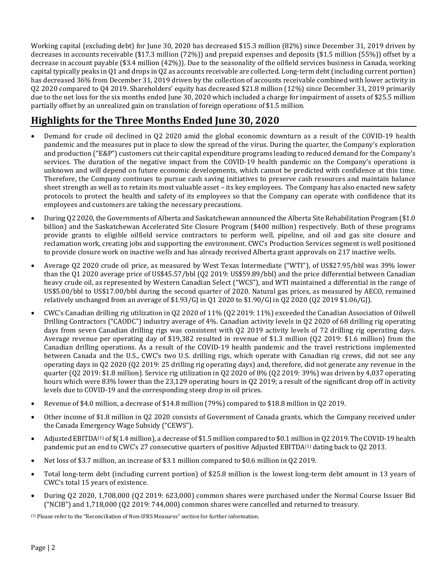Working capital (excluding debt) for June 30, 2020 has decreased \$15.3 million (82%) since December 31, 2019 driven by decreases in accounts receivable (\$17.3 million (72%)) and prepaid expenses and deposits (\$1.5 million (55%)) offset by a decrease in account payable (\$3.4 million (42%)). Due to the seasonality of the oilfield services business in Canada, working capital typically peaks in Q1 and drops in Q2 as accounts receivable are collected. Long-term debt (including current portion) has decreased 36% from December 31, 2019 driven by the collection of accounts receivable combined with lower activity in Q2 2020 compared to Q4 2019. Shareholders' equity has decreased \$21.8 million (12%) since December 31, 2019 primarily due to the net loss for the six months ended June 30, 2020 which included a charge for impairment of assets of \$25.5 million partially offset by an unrealized gain on translation of foreign operations of \$1.5 million.

# **Highlights for the Three Months Ended June 30, 2020**

- Demand for crude oil declined in Q2 2020 amid the global economic downturn as a result of the COVID-19 health pandemic and the measures put in place to slow the spread of the virus. During the quarter, the Company's exploration and production ("E&P") customers cut their capital expenditure programs leading to reduced demand for the Company's services. The duration of the negative impact from the COVID-19 health pandemic on the Company's operations is unknown and will depend on future economic developments, which cannot be predicted with confidence at this time. Therefore, the Company continues to pursue cash saving initiatives to preserve cash resources and maintain balance sheet strength as well as to retain its most valuable asset – its key employees. The Company has also enacted new safety protocols to protect the health and safety of its employees so that the Company can operate with confidence that its employees and customers are taking the necessary precautions.
- During Q2 2020, the Governments of Alberta and Saskatchewan announced the Alberta Site Rehabilitation Program (\$1.0 billion) and the Saskatchewan Accelerated Site Closure Program (\$400 million) respectively. Both of these programs provide grants to eligible oilfield service contractors to perform well, pipeline, and oil and gas site closure and reclamation work, creating jobs and supporting the environment. CWC's Production Services segment is well positioned to provide closure work on inactive wells and has already received Alberta grant approvals on 217 inactive wells.
- Average Q2 2020 crude oil price, as measured by West Texas Intermediate ("WTI"), of US\$27.95/bbl was 39% lower than the Q1 2020 average price of US\$45.57/bbl (Q2 2019: US\$59.89/bbl) and the price differential between Canadian heavy crude oil, as represented by Western Canadian Select ("WCS"), and WTI maintained a differential in the range of US\$5.00/bbl to US\$17.00/bbl during the second quarter of 2020. Natural gas prices, as measured by AECO, remained relatively unchanged from an average of \$1.93/GJ in Q1 2020 to \$1.90/GJ in Q2 2020 (Q2 2019 \$1.06/GJ).
- CWC's Canadian drilling rig utilization in Q2 2020 of 11% (Q2 2019: 11%) exceeded the Canadian Association of Oilwell Drilling Contractors ("CAODC") industry average of 4%. Canadian activity levels in Q2 2020 of 68 drilling rig operating days from seven Canadian drilling rigs was consistent with Q2 2019 activity levels of 72 drilling rig operating days. Average revenue per operating day of \$19,382 resulted in revenue of \$1.3 million (Q2 2019: \$1.6 million) from the Canadian drilling operations. As a result of the COVID-19 health pandemic and the travel restrictions implemented between Canada and the U.S., CWC's two U.S. drilling rigs, which operate with Canadian rig crews, did not see any operating days in Q2 2020 (Q2 2019: 25 drilling rig operating days) and, therefore, did not generate any revenue in the quarter (Q2 2019: \$1.8 million). Service rig utilization in Q2 2020 of 8% (Q2 2019: 39%) was driven by 4,037 operating hours which were 83% lower than the 23,129 operating hours in Q2 2019; a result of the significant drop off in activity levels due to COVID-19 and the corresponding steep drop in oil prices.
- Revenue of \$4.0 million, a decrease of \$14.8 million (79%) compared to \$18.8 million in Q2 2019.
- Other income of \$1.8 million in Q2 2020 consists of Government of Canada grants, which the Company received under the Canada Emergency Wage Subsidy ("CEWS").
- Adjusted EBITDA<sup>(1)</sup> of  $$(1.4 \text{ million})$ , a decrease of \$1.5 million compared to \$0.1 million in Q2 2019. The COVID-19 health pandemic put an end to CWC's 27 consecutive quarters of positive Adjusted EBITDA(1) dating back to Q2 2013.
- Net loss of \$3.7 million, an increase of \$3.1 million compared to \$0.6 million in Q2 2019.
- Total long-term debt (including current portion) of \$25.8 million is the lowest long-term debt amount in 13 years of CWC's total 15 years of existence.
- During Q2 2020, 1,708,000 (Q2 2019: 623,000) common shares were purchased under the Normal Course Issuer Bid ("NCIB") and 1,718,000 (Q2 2019: 744,000) common shares were cancelled and returned to treasury.

(1) Please refer to the "Reconciliation of Non-IFRS Measures" section for further information.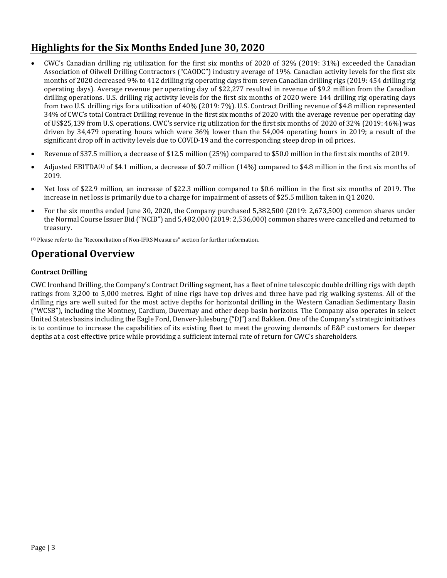## **Highlights for the Six Months Ended June 30, 2020**

- CWC's Canadian drilling rig utilization for the first six months of 2020 of 32% (2019: 31%) exceeded the Canadian Association of Oilwell Drilling Contractors ("CAODC") industry average of 19%. Canadian activity levels for the first six months of 2020 decreased 9% to 412 drilling rig operating days from seven Canadian drilling rigs (2019: 454 drilling rig operating days). Average revenue per operating day of \$22,277 resulted in revenue of \$9.2 million from the Canadian drilling operations. U.S. drilling rig activity levels for the first six months of 2020 were 144 drilling rig operating days from two U.S. drilling rigs for a utilization of 40% (2019: 7%). U.S. Contract Drilling revenue of \$4.8 million represented 34% of CWC's total Contract Drilling revenue in the first six months of 2020 with the average revenue per operating day of US\$25,139 from U.S. operations. CWC's service rig utilization for the first six months of 2020 of 32% (2019: 46%) was driven by 34,479 operating hours which were 36% lower than the 54,004 operating hours in 2019; a result of the significant drop off in activity levels due to COVID-19 and the corresponding steep drop in oil prices.
- Revenue of \$37.5 million, a decrease of \$12.5 million (25%) compared to \$50.0 million in the first six months of 2019.
- Adjusted EBITDA<sup>(1)</sup> of \$4.1 million, a decrease of \$0.7 million (14%) compared to \$4.8 million in the first six months of 2019.
- Net loss of \$22.9 million, an increase of \$22.3 million compared to \$0.6 million in the first six months of 2019. The increase in net loss is primarily due to a charge for impairment of assets of \$25.5 million taken in Q1 2020.
- For the six months ended June 30, 2020, the Company purchased 5,382,500 (2019: 2,673,500) common shares under the Normal Course Issuer Bid ("NCIB") and 5,482,000 (2019: 2,536,000) common shares were cancelled and returned to treasury.

(1) Please refer to the "Reconciliation of Non-IFRS Measures" section for further information.

### **Operational Overview**

#### **Contract Drilling**

CWC Ironhand Drilling, the Company's Contract Drilling segment, has a fleet of nine telescopic double drilling rigs with depth ratings from 3,200 to 5,000 metres. Eight of nine rigs have top drives and three have pad rig walking systems. All of the drilling rigs are well suited for the most active depths for horizontal drilling in the Western Canadian Sedimentary Basin ("WCSB"), including the Montney, Cardium, Duvernay and other deep basin horizons. The Company also operates in select United States basins including the Eagle Ford, Denver-Julesburg ("DJ") and Bakken. One of the Company's strategic initiatives is to continue to increase the capabilities of its existing fleet to meet the growing demands of E&P customers for deeper depths at a cost effective price while providing a sufficient internal rate of return for CWC's shareholders.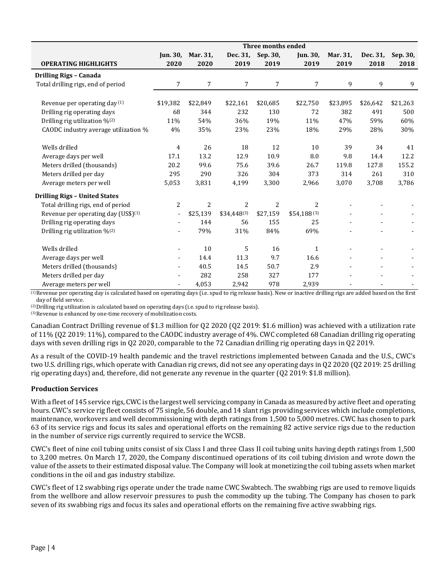|                                                 | Three months ended       |                |             |                |                |          |          |          |
|-------------------------------------------------|--------------------------|----------------|-------------|----------------|----------------|----------|----------|----------|
|                                                 | Jun. 30,                 | Mar. 31,       | Dec. 31,    | Sep. 30,       | Jun. 30,       | Mar. 31, | Dec. 31, | Sep. 30, |
| <b>OPERATING HIGHLIGHTS</b>                     | 2020                     | 2020           | 2019        | 2019           | 2019           | 2019     | 2018     | 2018     |
| Drilling Rigs - Canada                          |                          |                |             |                |                |          |          |          |
| Total drilling rigs, end of period              | $\overline{7}$           | $\sqrt{ }$     | 7           | $\overline{7}$ | 7              | 9        | 9        | 9        |
|                                                 |                          |                |             |                |                |          |          |          |
| Revenue per operating day (1)                   | \$19,382                 | \$22,849       | \$22,161    | \$20,685       | \$22,750       | \$23,895 | \$26,642 | \$21,263 |
| Drilling rig operating days                     | 68                       | 344            | 232         | 130            | 72             | 382      | 491      | 500      |
| Drilling rig utilization %(2)                   | 11%                      | 54%            | 36%         | 19%            | 11%            | 47%      | 59%      | 60%      |
| CAODC industry average utilization %            | 4%                       | 35%            | 23%         | 23%            | 18%            | 29%      | 28%      | 30%      |
| Wells drilled                                   | $\overline{4}$           | 26             | 18          | 12             | 10             | 39       | 34       | 41       |
| Average days per well                           | 17.1                     | 13.2           | 12.9        | 10.9           | 8.0            | 9.8      | 14.4     | 12.2     |
| Meters drilled (thousands)                      | 20.2                     | 99.6           | 75.6        | 39.6           | 26.7           | 119.8    | 127.8    | 155.2    |
| Meters drilled per day                          | 295                      | 290            | 326         | 304            | 373            | 314      | 261      | 310      |
| Average meters per well                         | 5,053                    | 3,831          | 4,199       | 3,300          | 2,966          | 3,070    | 3,708    | 3,786    |
|                                                 |                          |                |             |                |                |          |          |          |
| <b>Drilling Rigs - United States</b>            |                          |                |             |                |                |          |          |          |
| Total drilling rigs, end of period              | $\overline{2}$           | $\overline{2}$ | 2           | 2              | $\overline{2}$ |          |          |          |
| Revenue per operating day (US\$) <sup>(1)</sup> | $\overline{\phantom{a}}$ | \$25,139       | \$34,448(3) | \$27,159       | \$54,188(3)    |          |          |          |
| Drilling rig operating days                     | $\overline{\phantom{a}}$ | 144            | 56          | 155            | 25             |          |          |          |
| Drilling rig utilization %(2)                   | $\overline{\phantom{a}}$ | 79%            | 31%         | 84%            | 69%            |          |          |          |
| Wells drilled                                   | $\overline{\phantom{a}}$ | 10             | 5           | 16             | $\mathbf{1}$   |          |          |          |
| Average days per well                           | $\overline{\phantom{a}}$ | 14.4           | 11.3        | 9.7            | 16.6           |          |          |          |
| Meters drilled (thousands)                      |                          | 40.5           | 14.5        | 50.7           | 2.9            |          |          |          |
| Meters drilled per day                          |                          | 282            | 258         | 327            | 177            |          |          |          |
| Average meters per well                         | $\overline{\phantom{a}}$ | 4,053          | 2,942       | 978            | 2,939          |          |          |          |

(1)Revenue per operating day is calculated based on operating days (i.e. spud to rig release basis). New or inactive drilling rigs are added based on the first day of field service.

(2) Drilling rig utilization is calculated based on operating days (i.e. spud to rig release basis).

(3)Revenue is enhanced by one-time recovery of mobilization costs.

Canadian Contract Drilling revenue of \$1.3 million for Q2 2020 (Q2 2019: \$1.6 million) was achieved with a utilization rate of 11% (Q2 2019: 11%), compared to the CAODC industry average of 4%. CWC completed 68 Canadian drilling rig operating days with seven drilling rigs in Q2 2020, comparable to the 72 Canadian drilling rig operating days in Q2 2019.

As a result of the COVID-19 health pandemic and the travel restrictions implemented between Canada and the U.S., CWC's two U.S. drilling rigs, which operate with Canadian rig crews, did not see any operating days in Q2 2020 (Q2 2019: 25 drilling rig operating days) and, therefore, did not generate any revenue in the quarter (Q2 2019: \$1.8 million).

#### **Production Services**

With a fleet of 145 service rigs, CWC is the largest well servicing company in Canada as measured by active fleet and operating hours. CWC's service rig fleet consists of 75 single, 56 double, and 14 slant rigs providing services which include completions, maintenance, workovers and well decommissioning with depth ratings from 1,500 to 5,000 metres. CWC has chosen to park 63 of its service rigs and focus its sales and operational efforts on the remaining 82 active service rigs due to the reduction in the number of service rigs currently required to service the WCSB.

CWC's fleet of nine coil tubing units consist of six Class I and three Class II coil tubing units having depth ratings from 1,500 to 3,200 metres. On March 17, 2020, the Company discontinued operations of its coil tubing division and wrote down the value of the assets to their estimated disposal value. The Company will look at monetizing the coil tubing assets when market conditions in the oil and gas industry stabilize.

CWC's fleet of 12 swabbing rigs operate under the trade name CWC Swabtech. The swabbing rigs are used to remove liquids from the wellbore and allow reservoir pressures to push the commodity up the tubing. The Company has chosen to park seven of its swabbing rigs and focus its sales and operational efforts on the remaining five active swabbing rigs.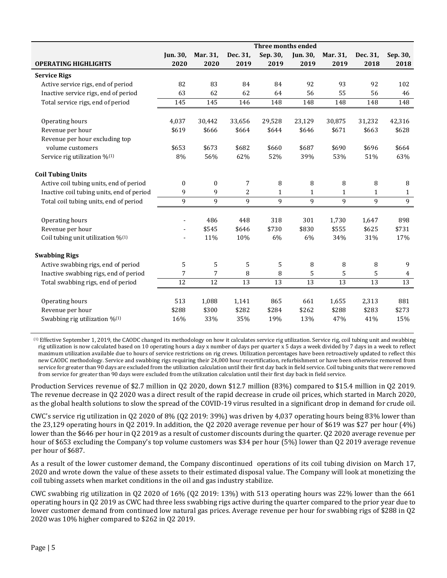|                                                       | Three months ended |                  |                |              |                 |          |          |                 |
|-------------------------------------------------------|--------------------|------------------|----------------|--------------|-----------------|----------|----------|-----------------|
|                                                       | <b>Jun. 30.</b>    | Mar. 31,         | Dec. 31,       | Sep. 30,     | <b>Jun. 30,</b> | Mar. 31, | Dec. 31, | Sep. 30,        |
| <b>OPERATING HIGHLIGHTS</b>                           | 2020               | 2020             | 2019           | 2019         | 2019            | 2019     | 2018     | 2018            |
| <b>Service Rigs</b>                                   |                    |                  |                |              |                 |          |          |                 |
| Active service rigs, end of period                    | 82                 | 83               | 84             | 84           | 92              | 93       | 92       | 102             |
| Inactive service rigs, end of period                  | 63                 | 62               | 62             | 64           | 56              | 55       | 56       | 46              |
| Total service rigs, end of period                     | 145                | 145              | 146            | 148          | 148             | 148      | 148      | 148             |
| Operating hours                                       | 4,037              | 30,442           | 33,656         | 29,528       | 23,129          | 30,875   | 31,232   | 42,316          |
| Revenue per hour                                      | \$619              | \$666            | \$664          | \$644        | \$646           | \$671    | \$663    | \$628           |
| Revenue per hour excluding top                        |                    |                  |                |              |                 |          |          |                 |
| volume customers                                      | \$653              | \$673            | \$682          | \$660        | \$687           | \$690    | \$696    | \$664           |
| Service rig utilization $\frac{9}{10}$ <sup>(1)</sup> | 8%                 | 56%              | 62%            | 52%          | 39%             | 53%      | 51%      | 63%             |
| <b>Coil Tubing Units</b>                              |                    |                  |                |              |                 |          |          |                 |
| Active coil tubing units, end of period               | 0                  | $\boldsymbol{0}$ | 7              | 8            | 8               | 8        | 8        | 8               |
| Inactive coil tubing units, end of period             | 9                  | 9                | 2              | $\mathbf{1}$ | 1               | 1        | 1        | $\mathbf{1}$    |
| Total coil tubing units, end of period                | 9                  | $\overline{9}$   | $\overline{9}$ | 9            | 9               | 9        | 9        | 9               |
| Operating hours                                       |                    | 486              | 448            | 318          | 301             | 1,730    | 1,647    | 898             |
| Revenue per hour                                      |                    | \$545            | \$646          | \$730        | \$830           | \$555    | \$625    | \$731           |
| Coil tubing unit utilization $\frac{9}{10}$           |                    | 11%              | 10%            | 6%           | 6%              | 34%      | 31%      | 17%             |
| <b>Swabbing Rigs</b>                                  |                    |                  |                |              |                 |          |          |                 |
| Active swabbing rigs, end of period                   | 5                  | 5                | 5              | 5            | 8               | 8        | 8        | 9               |
| Inactive swabbing rigs, end of period                 | 7                  | 7                | 8              | 8            | 5               | 5        | 5        | 4               |
| Total swabbing rigs, end of period                    | $\overline{12}$    | 12               | 13             | 13           | 13              | 13       | 13       | $\overline{13}$ |
| Operating hours                                       | 513                | 1,088            | 1,141          | 865          | 661             | 1,655    | 2,313    | 881             |
| Revenue per hour                                      | \$288              | \$300            | \$282          | \$284        | \$262           | \$288    | \$283    | \$273           |
| Swabbing rig utilization %(1)                         | 16%                | 33%              | 35%            | 19%          | 13%             | 47%      | 41%      | 15%             |

(1) Effective September 1, 2019, the CAODC changed its methodology on how it calculates service rig utilization. Service rig, coil tubing unit and swabbing rig utilization is now calculated based on 10 operating hours a day x number of days per quarter x 5 days a week divided by 7 days in a week to reflect maximum utilization available due to hours of service restrictions on rig crews. Utilization percentages have been retroactively updated to reflect this new CAODC methodology. Service and swabbing rigs requiring their 24,000 hour recertification, refurbishment or have been otherwise removed from service for greater than 90 days are excluded from the utilization calculation until their first day back in field service. Coil tubing units that were removed from service for greater than 90 days were excluded from the utilization calculation until their first day back in field service.

Production Services revenue of \$2.7 million in Q2 2020, down \$12.7 million (83%) compared to \$15.4 million in Q2 2019. The revenue decrease in Q2 2020 was a direct result of the rapid decrease in crude oil prices, which started in March 2020, as the global health solutions to slow the spread of the COVID-19 virus resulted in a significant drop in demand for crude oil.

CWC's service rig utilization in Q2 2020 of 8% (Q2 2019: 39%) was driven by 4,037 operating hours being 83% lower than the 23,129 operating hours in Q2 2019. In addition, the Q2 2020 average revenue per hour of \$619 was \$27 per hour (4%) lower than the \$646 per hour in Q2 2019 as a result of customer discounts during the quarter. Q2 2020 average revenue per hour of \$653 excluding the Company's top volume customers was \$34 per hour (5%) lower than Q2 2019 average revenue per hour of \$687.

As a result of the lower customer demand, the Company discontinued operations of its coil tubing division on March 17, 2020 and wrote down the value of these assets to their estimated disposal value. The Company will look at monetizing the coil tubing assets when market conditions in the oil and gas industry stabilize.

CWC swabbing rig utilization in Q2 2020 of 16% (Q2 2019: 13%) with 513 operating hours was 22% lower than the 661 operating hours in Q2 2019 as CWC had three less swabbing rigs active during the quarter compared to the prior year due to lower customer demand from continued low natural gas prices. Average revenue per hour for swabbing rigs of \$288 in Q2 2020 was 10% higher compared to \$262 in Q2 2019.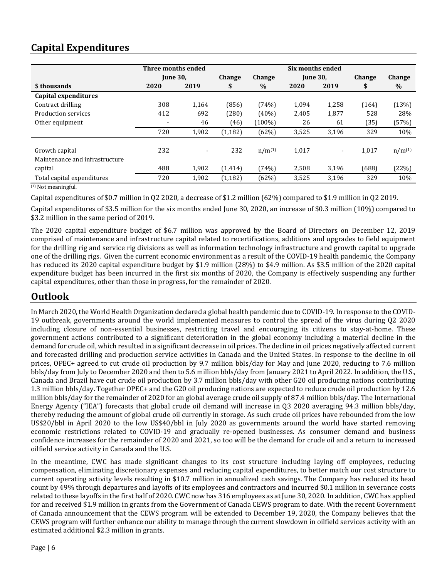# **Capital Expenditures**

|                                                  | Three months ended       |                          |          |               |                 |        |               |               |
|--------------------------------------------------|--------------------------|--------------------------|----------|---------------|-----------------|--------|---------------|---------------|
|                                                  | <b>June 30,</b>          |                          | Change   | <b>Change</b> | <b>June 30,</b> |        | <b>Change</b> | <b>Change</b> |
| \$thousands                                      | 2020                     | 2019                     | \$       | $\%$          | 2020            | 2019   | \$            | $\%$          |
| Capital expenditures                             |                          |                          |          |               |                 |        |               |               |
| Contract drilling                                | 308                      | 1,164                    | (856)    | (74%)         | 1,094           | 1,258  | (164)         | (13%)         |
| Production services                              | 412                      | 692                      | (280)    | $(40\%)$      | 2,405           | 1,877  | 528           | 28%           |
| Other equipment                                  | $\overline{\phantom{a}}$ | 46                       | (46)     | $(100\%)$     | 26              | 61     | (35)          | (57%)         |
|                                                  | 720                      | 1,902                    | (1, 182) | (62%)         | 3,525           | 3,196  | 329           | 10%           |
| Growth capital<br>Maintenance and infrastructure | 232                      | $\overline{\phantom{a}}$ | 232      | $n/m^{(1)}$   | 1,017           | $\sim$ | 1,017         | $n/m^{(1)}$   |
| capital                                          | 488                      | 1,902                    | (1, 414) | (74%)         | 2,508           | 3,196  | (688)         | (22%)         |
| Total capital expenditures                       | 720                      | 1,902                    | (1, 182) | (62%)         | 3,525           | 3,196  | 329           | 10%           |

(1) Not meaningful.

Capital expenditures of \$0.7 million in Q2 2020, a decrease of \$1.2 million (62%) compared to \$1.9 million in Q2 2019.

Capital expenditures of \$3.5 million for the six months ended June 30, 2020, an increase of \$0.3 million (10%) compared to \$3.2 million in the same period of 2019.

The 2020 capital expenditure budget of \$6.7 million was approved by the Board of Directors on December 12, 2019 comprised of maintenance and infrastructure capital related to recertifications, additions and upgrades to field equipment for the drilling rig and service rig divisions as well as information technology infrastructure and growth capital to upgrade one of the drilling rigs. Given the current economic environment as a result of the COVID-19 health pandemic, the Company has reduced its 2020 capital expenditure budget by \$1.9 million (28%) to \$4.9 million. As \$3.5 million of the 2020 capital expenditure budget has been incurred in the first six months of 2020, the Company is effectively suspending any further capital expenditures, other than those in progress, for the remainder of 2020.

### **Outlook**

In March 2020, the World Health Organization declared a global health pandemic due to COVID-19. In response to the COVID-19 outbreak, governments around the world implemented measures to control the spread of the virus during Q2 2020 including closure of non-essential businesses, restricting travel and encouraging its citizens to stay-at-home. These government actions contributed to a significant deterioration in the global economy including a material decline in the demand for crude oil, which resulted in a significant decrease in oil prices. The decline in oil prices negatively affected current and forecasted drilling and production service activities in Canada and the United States. In response to the decline in oil prices, OPEC+ agreed to cut crude oil production by 9.7 million bbls/day for May and June 2020, reducing to 7.6 million bbls/day from July to December 2020 and then to 5.6 million bbls/day from January 2021 to April 2022. In addition, the U.S., Canada and Brazil have cut crude oil production by 3.7 million bbls/day with other G20 oil producing nations contributing 1.3 million bbls/day. Together OPEC+ and the G20 oil producing nations are expected to reduce crude oil production by 12.6 million bbls/day for the remainder of 2020 for an global average crude oil supply of 87.4 million bbls/day. The International Energy Agency ("IEA") forecasts that global crude oil demand will increase in Q3 2020 averaging 94.3 million bbls/day, thereby reducing the amount of global crude oil currently in storage. As such crude oil prices have rebounded from the low US\$20/bbl in April 2020 to the low US\$40/bbl in July 2020 as governments around the world have started removing economic restrictions related to COVID-19 and gradually re-opened businesses. As consumer demand and business confidence increases for the remainder of 2020 and 2021, so too will be the demand for crude oil and a return to increased oilfield service activity in Canada and the U.S.

In the meantime, CWC has made significant changes to its cost structure including laying off employees, reducing compensation, eliminating discretionary expenses and reducing capital expenditures, to better match our cost structure to current operating activity levels resulting in \$10.7 million in annualized cash savings. The Company has reduced its head count by 49% through departures and layoffs of its employees and contractors and incurred \$0.1 million in severance costs related to these layoffs in the first half of 2020. CWC now has 316 employees as at June 30, 2020. In addition, CWC has applied for and received \$1.9 million in grants from the Government of Canada CEWS program to date. With the recent Government of Canada announcement that the CEWS program will be extended to December 19, 2020, the Company believes that the CEWS program will further enhance our ability to manage through the current slowdown in oilfield services activity with an estimated additional \$2.3 million in grants.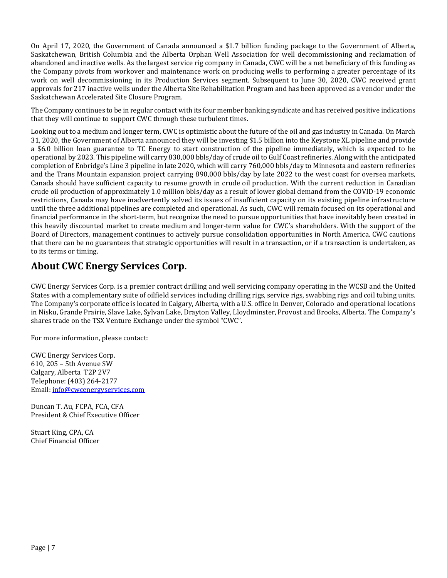On April 17, 2020, the Government of Canada announced a \$1.7 billion funding package to the Government of Alberta, Saskatchewan, British Columbia and the Alberta Orphan Well Association for well decommissioning and reclamation of abandoned and inactive wells. As the largest service rig company in Canada, CWC will be a net beneficiary of this funding as the Company pivots from workover and maintenance work on producing wells to performing a greater percentage of its work on well decommissioning in its Production Services segment. Subsequent to June 30, 2020, CWC received grant approvals for 217 inactive wells under the Alberta Site Rehabilitation Program and has been approved as a vendor under the Saskatchewan Accelerated Site Closure Program.

The Company continues to be in regular contact with its four member banking syndicate and has received positive indications that they will continue to support CWC through these turbulent times.

Looking out to a medium and longer term, CWC is optimistic about the future of the oil and gas industry in Canada. On March 31, 2020, the Government of Alberta announced they will be investing \$1.5 billion into the Keystone XL pipeline and provide a \$6.0 billion loan guarantee to TC Energy to start construction of the pipeline immediately, which is expected to be operational by 2023. This pipeline will carry 830,000 bbls/day of crude oil to Gulf Coast refineries. Along with the anticipated completion of Enbridge's Line 3 pipeline in late 2020, which will carry 760,000 bbls/day to Minnesota and eastern refineries and the Trans Mountain expansion project carrying 890,000 bbls/day by late 2022 to the west coast for oversea markets, Canada should have sufficient capacity to resume growth in crude oil production. With the current reduction in Canadian crude oil production of approximately 1.0 million bbls/day as a result of lower global demand from the COVID-19 economic restrictions, Canada may have inadvertently solved its issues of insufficient capacity on its existing pipeline infrastructure until the three additional pipelines are completed and operational. As such, CWC will remain focused on its operational and financial performance in the short-term, but recognize the need to pursue opportunities that have inevitably been created in this heavily discounted market to create medium and longer-term value for CWC's shareholders. With the support of the Board of Directors, management continues to actively pursue consolidation opportunities in North America. CWC cautions that there can be no guarantees that strategic opportunities will result in a transaction, or if a transaction is undertaken, as to its terms or timing.

## **About CWC Energy Services Corp.**

CWC Energy Services Corp. is a premier contract drilling and well servicing company operating in the WCSB and the United States with a complementary suite of oilfield services including drilling rigs, service rigs, swabbing rigs and coil tubing units. The Company's corporate office is located in Calgary, Alberta, with a U.S. office in Denver, Colorado and operational locations in Nisku, Grande Prairie, Slave Lake, Sylvan Lake, Drayton Valley, Lloydminster, Provost and Brooks, Alberta. The Company's shares trade on the TSX Venture Exchange under the symbol "CWC".

For more information, please contact:

CWC Energy Services Corp. 610, 205 – 5th Avenue SW Calgary, Alberta T2P 2V7 Telephone: (403) 264-2177 Email: [info@cwcenergyservices.com](mailto:info@cwcenergyservices.com)

Duncan T. Au, FCPA, FCA, CFA President & Chief Executive Officer

Stuart King, CPA, CA Chief Financial Officer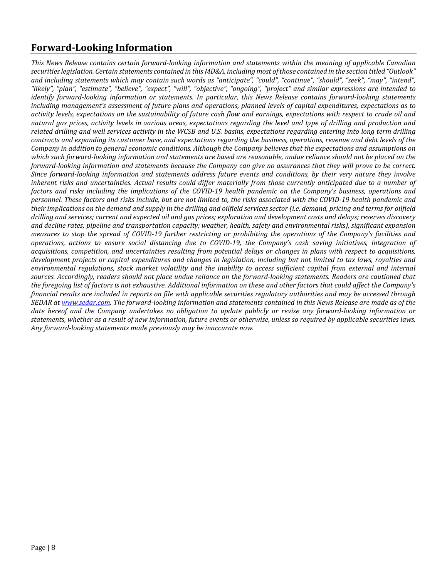# **Forward-Looking Information**

*This News Release contains certain forward-looking information and statements within the meaning of applicable Canadian securities legislation. Certain statements contained in this MD&A, including most of those contained in the section titled "Outlook" and including statements which may contain such words as "anticipate", "could", "continue", "should", "seek", "may", "intend", "likely", "plan", "estimate", "believe", "expect", "will", "objective", "ongoing", "project" and similar expressions are intended to identify forward-looking information or statements. In particular, this News Release contains forward-looking statements including management's assessment of future plans and operations, planned levels of capital expenditures, expectations as to activity levels, expectations on the sustainability of future cash flow and earnings, expectations with respect to crude oil and natural gas prices, activity levels in various areas, expectations regarding the level and type of drilling and production and related drilling and well services activity in the WCSB and U.S. basins, expectations regarding entering into long term drilling contracts and expanding its customer base, and expectations regarding the business, operations, revenue and debt levels of the Company in addition to general economic conditions. Although the Company believes that the expectations and assumptions on*  which such forward-looking information and statements are based are reasonable, undue reliance should not be placed on the *forward-looking information and statements because the Company can give no assurances that they will prove to be correct. Since forward-looking information and statements address future events and conditions, by their very nature they involve inherent risks and uncertainties. Actual results could differ materially from those currently anticipated due to a number of factors and risks including the implications of the COVID-19 health pandemic on the Company's business, operations and personnel. These factors and risks include, but are not limited to, the risks associated with the COVID-19 health pandemic and their implications on the demand and supply in the drilling and oilfield services sector (i.e. demand, pricing and terms for oilfield drilling and services; current and expected oil and gas prices; exploration and development costs and delays; reserves discovery and decline rates; pipeline and transportation capacity; weather, health, safety and environmental risks), significant expansion measures to stop the spread of COVID-19 further restricting or prohibiting the operations of the Company's facilities and operations, actions to ensure social distancing due to COVID-19, the Company's cash saving initiatives, integration of acquisitions, competition, and uncertainties resulting from potential delays or changes in plans with respect to acquisitions, development projects or capital expenditures and changes in legislation, including but not limited to tax laws, royalties and environmental regulations, stock market volatility and the inability to access sufficient capital from external and internal sources. Accordingly, readers should not place undue reliance on the forward-looking statements. Readers are cautioned that the foregoing list of factors is not exhaustive. Additional information on these and other factors that could affect the Company's financial results are included in reports on file with applicable securities regulatory authorities and may be accessed through SEDAR a[t www.sedar.com.](http://www.sedar.com/) The forward-looking information and statements contained in this News Release are made as of the date hereof and the Company undertakes no obligation to update publicly or revise any forward-looking information or statements, whether as a result of new information, future events or otherwise, unless so required by applicable securities laws. Any forward-looking statements made previously may be inaccurate now.*